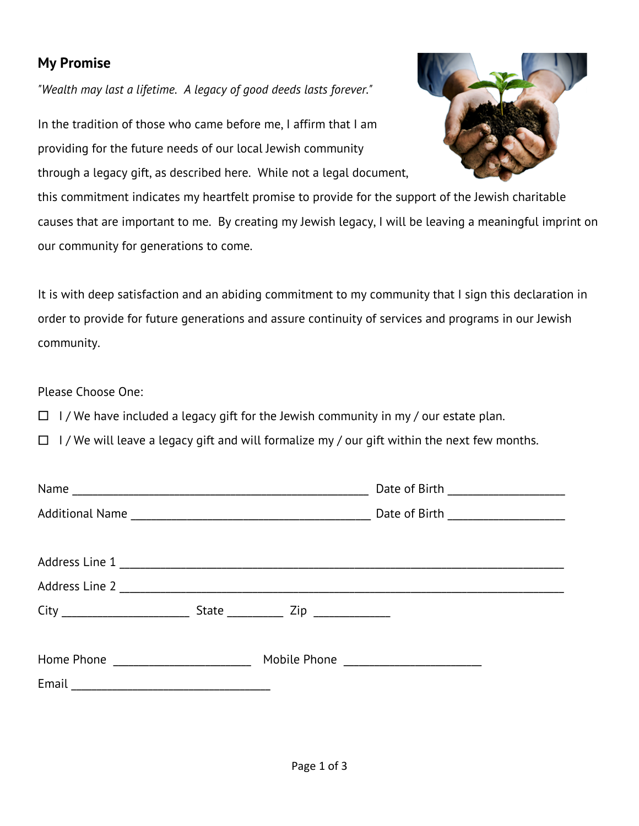## **My Promise**

*"Wealth may last a lifetime. A legacy of good deeds lasts forever."*

In the tradition of those who came before me, I affirm that I am providing for the future needs of our local Jewish community through a legacy gift, as described here. While not a legal document,

this commitment indicates my heartfelt promise to provide for the support of the Jewish charitable causes that are important to me. By creating my Jewish legacy, I will be leaving a meaningful imprint on our community for generations to come.

It is with deep satisfaction and an abiding commitment to my community that I sign this declaration in order to provide for future generations and assure continuity of services and programs in our Jewish community.

Please Choose One:

 $\Box$  I/We have included a legacy gift for the Jewish community in my / our estate plan.

 $\Box$  I/We will leave a legacy gift and will formalize my / our gift within the next few months.

|  | State ____________ Zip ______________ |  |
|--|---------------------------------------|--|
|  |                                       |  |
|  |                                       |  |
|  |                                       |  |

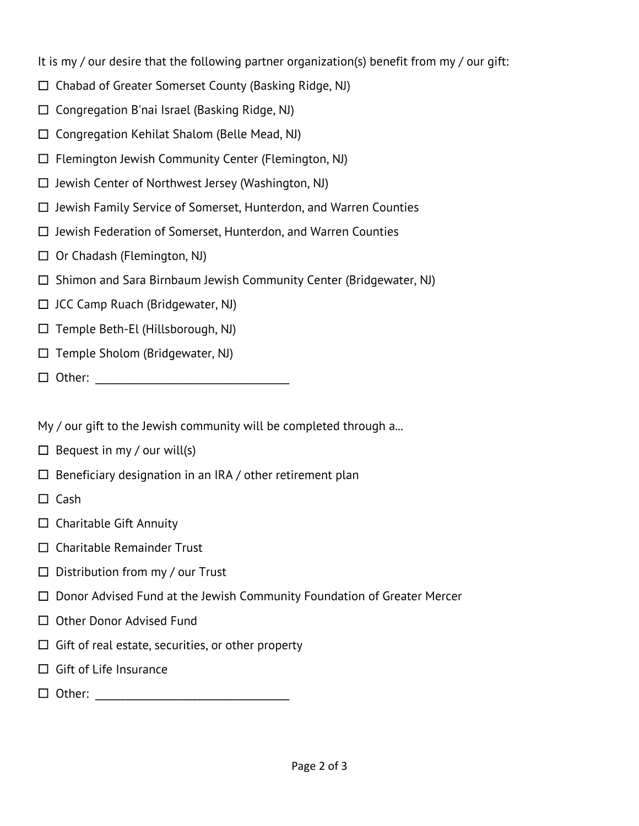It is my / our desire that the following partner organization(s) benefit from my / our gift:

- $\Box$  Chabad of Greater Somerset County (Basking Ridge, NJ)
- $\square$  Congregation B'nai Israel (Basking Ridge, NJ)
- $\square$  Congregation Kehilat Shalom (Belle Mead, NJ)
- $\Box$  Flemington Jewish Community Center (Flemington, NJ)
- $\square$  Jewish Center of Northwest Jersey (Washington, NJ)
- $\Box$  Jewish Family Service of Somerset, Hunterdon, and Warren Counties
- $\Box$  Jewish Federation of Somerset, Hunterdon, and Warren Counties
- $\Box$  Or Chadash (Flemington, NJ)
- $\Box$  Shimon and Sara Birnbaum Jewish Community Center (Bridgewater, NJ)
- $\Box$  JCC Camp Ruach (Bridgewater, NJ)
- $\Box$  Temple Beth-El (Hillsborough, NJ)
- $\Box$  Temple Sholom (Bridgewater, NJ)
- £ Other: \_\_\_\_\_\_\_\_\_\_\_\_\_\_\_\_\_\_\_\_\_\_\_\_\_\_\_\_\_\_\_\_\_\_\_\_\_\_

My / our gift to the Jewish community will be completed through a...

- $\Box$  Bequest in my / our will(s)
- $\square$  Beneficiary designation in an IRA / other retirement plan
- $\square$  Cash
- $\square$  Charitable Gift Annuity
- $\square$  Charitable Remainder Trust
- $\square$  Distribution from my / our Trust
- $\square$  Donor Advised Fund at the Jewish Community Foundation of Greater Mercer
- □ Other Donor Advised Fund
- $\square$  Gift of real estate, securities, or other property
- $\square$  Gift of Life Insurance
- £ Other: \_\_\_\_\_\_\_\_\_\_\_\_\_\_\_\_\_\_\_\_\_\_\_\_\_\_\_\_\_\_\_\_\_\_\_\_\_\_